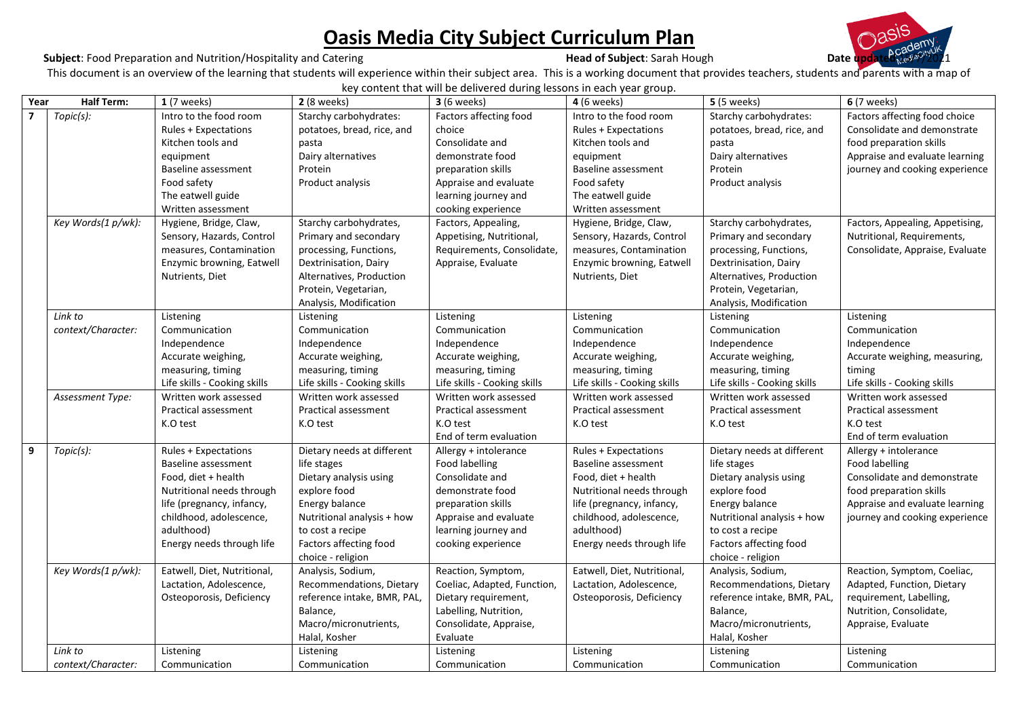# **<u>Oasis Media City Subject Curriculum Plan</u><br>
Head of Subject: Sarah Hough**

#### **Subject**: Food Preparation and Nutrition/Hospitality and Catering **Head of Subject**: Sarah Hough **Date**

This document is an overview of the learning that students will experience within their subject area. This is a working document that provides teachers, students and parents with a map of

key content that will be delivered during lessons in each year group.

| Year           | Half Term:         | $1(7$ weeks)                 | <b>2</b> (8 weeks)           | <b>3</b> (6 weeks)           | <b>4</b> (6 weeks)           | <b>5</b> (5 weeks)           | <b>6</b> (7 weeks)              |
|----------------|--------------------|------------------------------|------------------------------|------------------------------|------------------------------|------------------------------|---------------------------------|
| $\overline{7}$ | Topic(s):          | Intro to the food room       | Starchy carbohydrates:       | Factors affecting food       | Intro to the food room       | Starchy carbohydrates:       | Factors affecting food choice   |
|                |                    | <b>Rules + Expectations</b>  | potatoes, bread, rice, and   | choice                       | <b>Rules + Expectations</b>  | potatoes, bread, rice, and   | Consolidate and demonstrate     |
|                |                    | Kitchen tools and            | pasta                        | Consolidate and              | Kitchen tools and            | pasta                        | food preparation skills         |
|                |                    | equipment                    | Dairy alternatives           | demonstrate food             | equipment                    | Dairy alternatives           | Appraise and evaluate learning  |
|                |                    | Baseline assessment          | Protein                      | preparation skills           | Baseline assessment          | Protein                      | journey and cooking experience  |
|                |                    | Food safety                  | Product analysis             | Appraise and evaluate        | Food safety                  | Product analysis             |                                 |
|                |                    | The eatwell guide            |                              | learning journey and         | The eatwell guide            |                              |                                 |
|                |                    | Written assessment           |                              | cooking experience           | Written assessment           |                              |                                 |
|                | Key Words(1 p/wk): | Hygiene, Bridge, Claw,       | Starchy carbohydrates,       | Factors, Appealing,          | Hygiene, Bridge, Claw,       | Starchy carbohydrates,       | Factors, Appealing, Appetising, |
|                |                    | Sensory, Hazards, Control    | Primary and secondary        | Appetising, Nutritional,     | Sensory, Hazards, Control    | Primary and secondary        | Nutritional, Requirements,      |
|                |                    | measures, Contamination      | processing, Functions,       | Requirements, Consolidate,   | measures, Contamination      | processing, Functions,       | Consolidate, Appraise, Evaluate |
|                |                    | Enzymic browning, Eatwell    | Dextrinisation, Dairy        | Appraise, Evaluate           | Enzymic browning, Eatwell    | Dextrinisation, Dairy        |                                 |
|                |                    | Nutrients, Diet              | Alternatives, Production     |                              | Nutrients, Diet              | Alternatives, Production     |                                 |
|                |                    |                              | Protein, Vegetarian,         |                              |                              | Protein, Vegetarian,         |                                 |
|                |                    |                              | Analysis, Modification       |                              |                              | Analysis, Modification       |                                 |
|                | Link to            | Listening                    | Listening                    | Listening                    | Listening                    | Listening                    | Listening                       |
|                | context/Character: | Communication                | Communication                | Communication                | Communication                | Communication                | Communication                   |
|                |                    | Independence                 | Independence                 | Independence                 | Independence                 | Independence                 | Independence                    |
|                |                    | Accurate weighing,           | Accurate weighing,           | Accurate weighing,           | Accurate weighing,           | Accurate weighing,           | Accurate weighing, measuring,   |
|                |                    | measuring, timing            | measuring, timing            | measuring, timing            | measuring, timing            | measuring, timing            | timing                          |
|                |                    | Life skills - Cooking skills | Life skills - Cooking skills | Life skills - Cooking skills | Life skills - Cooking skills | Life skills - Cooking skills | Life skills - Cooking skills    |
|                | Assessment Type:   | Written work assessed        | Written work assessed        | Written work assessed        | Written work assessed        | Written work assessed        | Written work assessed           |
|                |                    | Practical assessment         | Practical assessment         | Practical assessment         | Practical assessment         | Practical assessment         | Practical assessment            |
|                |                    | K.O test                     | K.O test                     | K.O test                     | K.O test                     | K.O test                     | K.O test                        |
|                |                    |                              |                              | End of term evaluation       |                              |                              | End of term evaluation          |
| 9              | Topic(s):          | <b>Rules + Expectations</b>  | Dietary needs at different   | Allergy + intolerance        | <b>Rules + Expectations</b>  | Dietary needs at different   | Allergy + intolerance           |
|                |                    | Baseline assessment          | life stages                  | Food labelling               | Baseline assessment          | life stages                  | Food labelling                  |
|                |                    | Food, diet + health          | Dietary analysis using       | Consolidate and              | Food, diet + health          | Dietary analysis using       | Consolidate and demonstrate     |
|                |                    | Nutritional needs through    | explore food                 | demonstrate food             | Nutritional needs through    | explore food                 | food preparation skills         |
|                |                    | life (pregnancy, infancy,    | Energy balance               | preparation skills           | life (pregnancy, infancy,    | Energy balance               | Appraise and evaluate learning  |
|                |                    | childhood, adolescence,      | Nutritional analysis + how   | Appraise and evaluate        | childhood, adolescence,      | Nutritional analysis + how   | journey and cooking experience  |
|                |                    | adulthood)                   | to cost a recipe             | learning journey and         | adulthood)                   | to cost a recipe             |                                 |
|                |                    | Energy needs through life    | Factors affecting food       | cooking experience           | Energy needs through life    | Factors affecting food       |                                 |
|                |                    |                              | choice - religion            |                              |                              | choice - religion            |                                 |
|                | Key Words(1 p/wk): | Eatwell, Diet, Nutritional,  | Analysis, Sodium,            | Reaction, Symptom,           | Eatwell, Diet, Nutritional,  | Analysis, Sodium,            | Reaction, Symptom, Coeliac,     |
|                |                    | Lactation, Adolescence,      | Recommendations, Dietary     | Coeliac, Adapted, Function,  | Lactation, Adolescence,      | Recommendations, Dietary     | Adapted, Function, Dietary      |
|                |                    | Osteoporosis, Deficiency     | reference intake, BMR, PAL,  | Dietary requirement,         | Osteoporosis, Deficiency     | reference intake, BMR, PAL,  | requirement, Labelling,         |
|                |                    |                              | Balance,                     | Labelling, Nutrition,        |                              | Balance,                     | Nutrition, Consolidate,         |
|                |                    |                              | Macro/micronutrients,        | Consolidate, Appraise,       |                              | Macro/micronutrients,        | Appraise, Evaluate              |
|                |                    |                              | Halal, Kosher                | Evaluate                     |                              | Halal, Kosher                |                                 |
|                | Link to            | Listening                    | Listening                    | Listening                    | Listening                    | Listening                    | Listening                       |
|                | context/Character: | Communication                | Communication                | Communication                | Communication                | Communication                | Communication                   |

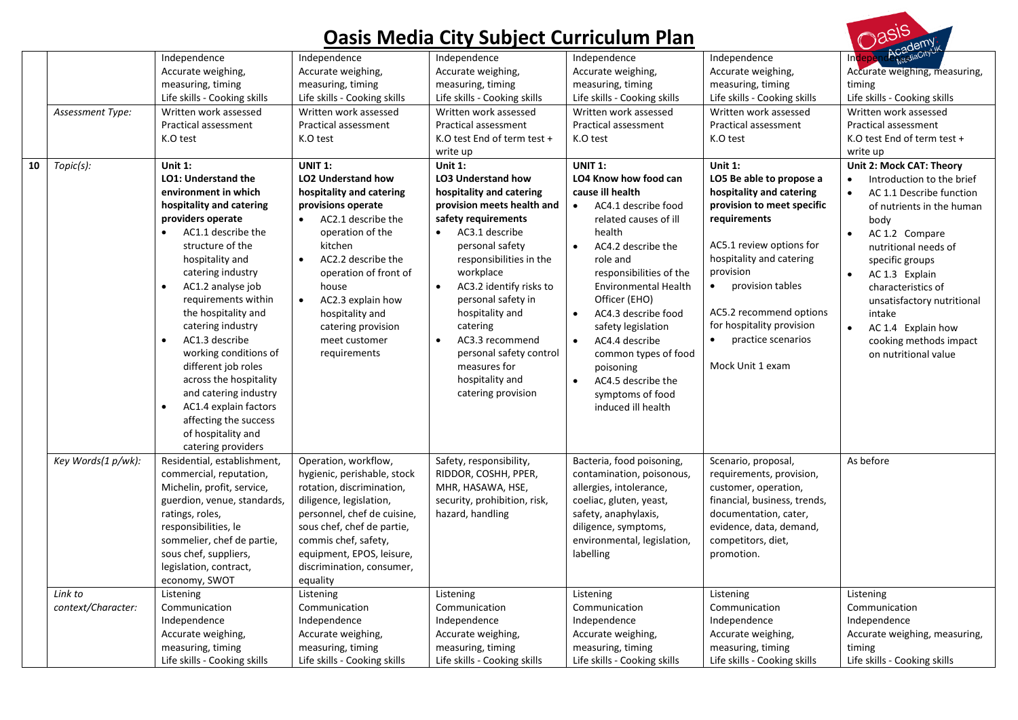$\bigcap_{\alpha}S^{15}$ 

| 10 | Assessment Type:<br>Topic(s): | Independence<br>Accurate weighing,<br>measuring, timing<br>Life skills - Cooking skills<br>Written work assessed<br>Practical assessment<br>K.O test<br>Unit 1:<br>LO1: Understand the<br>environment in which<br>hospitality and catering<br>providers operate<br>AC1.1 describe the<br>structure of the<br>hospitality and<br>catering industry<br>AC1.2 analyse job<br>requirements within<br>the hospitality and<br>catering industry<br>AC1.3 describe<br>$\bullet$<br>working conditions of<br>different job roles<br>across the hospitality<br>and catering industry<br>AC1.4 explain factors<br>$\bullet$<br>affecting the success | Independence<br>Accurate weighing,<br>measuring, timing<br>Life skills - Cooking skills<br>Written work assessed<br>Practical assessment<br>K.O test<br><b>UNIT 1:</b><br><b>LO2 Understand how</b><br>hospitality and catering<br>provisions operate<br>AC2.1 describe the<br>operation of the<br>kitchen<br>AC2.2 describe the<br>$\bullet$<br>operation of front of<br>house<br>AC2.3 explain how<br>$\bullet$<br>hospitality and<br>catering provision<br>meet customer<br>requirements | Independence<br>Accurate weighing,<br>measuring, timing<br>Life skills - Cooking skills<br>Written work assessed<br>Practical assessment<br>K.O test End of term test +<br>write up<br>Unit 1:<br><b>LO3 Understand how</b><br>hospitality and catering<br>provision meets health and<br>safety requirements<br>AC3.1 describe<br>$\bullet$<br>personal safety<br>responsibilities in the<br>workplace<br>AC3.2 identify risks to<br>$\bullet$<br>personal safety in<br>hospitality and<br>catering<br>AC3.3 recommend<br>$\bullet$<br>personal safety control<br>measures for<br>hospitality and<br>catering provision | Independence<br>Accurate weighing,<br>measuring, timing<br>Life skills - Cooking skills<br>Written work assessed<br>Practical assessment<br>K.O test<br>UNIT 1:<br>LO4 Know how food can<br>cause ill health<br>AC4.1 describe food<br>$\bullet$<br>related causes of ill<br>health<br>AC4.2 describe the<br>$\bullet$<br>role and<br>responsibilities of the<br><b>Environmental Health</b><br>Officer (EHO)<br>AC4.3 describe food<br>$\bullet$<br>safety legislation<br>AC4.4 describe<br>$\bullet$<br>common types of food<br>poisoning<br>AC4.5 describe the<br>symptoms of food<br>induced ill health | Independence<br>Accurate weighing,<br>measuring, timing<br>Life skills - Cooking skills<br>Written work assessed<br>Practical assessment<br>K.O test<br>Unit 1:<br>LO5 Be able to propose a<br>hospitality and catering<br>provision to meet specific<br>requirements<br>AC5.1 review options for<br>hospitality and catering<br>provision<br>$\bullet$<br>provision tables<br>AC5.2 recommend options<br>for hospitality provision<br>practice scenarios<br>Mock Unit 1 exam | Academuk<br>Indep<br>Accurate weighing, measuring,<br>timing<br>Life skills - Cooking skills<br>Written work assessed<br>Practical assessment<br>K.O test End of term test +<br>write up<br>Unit 2: Mock CAT: Theory<br>Introduction to the brief<br>AC 1.1 Describe function<br>of nutrients in the human<br>body<br>AC 1.2 Compare<br>nutritional needs of<br>specific groups<br>AC 1.3 Explain<br>characteristics of<br>unsatisfactory nutritional<br>intake<br>AC 1.4 Explain how<br>cooking methods impact<br>on nutritional value |
|----|-------------------------------|--------------------------------------------------------------------------------------------------------------------------------------------------------------------------------------------------------------------------------------------------------------------------------------------------------------------------------------------------------------------------------------------------------------------------------------------------------------------------------------------------------------------------------------------------------------------------------------------------------------------------------------------|---------------------------------------------------------------------------------------------------------------------------------------------------------------------------------------------------------------------------------------------------------------------------------------------------------------------------------------------------------------------------------------------------------------------------------------------------------------------------------------------|-------------------------------------------------------------------------------------------------------------------------------------------------------------------------------------------------------------------------------------------------------------------------------------------------------------------------------------------------------------------------------------------------------------------------------------------------------------------------------------------------------------------------------------------------------------------------------------------------------------------------|-------------------------------------------------------------------------------------------------------------------------------------------------------------------------------------------------------------------------------------------------------------------------------------------------------------------------------------------------------------------------------------------------------------------------------------------------------------------------------------------------------------------------------------------------------------------------------------------------------------|-------------------------------------------------------------------------------------------------------------------------------------------------------------------------------------------------------------------------------------------------------------------------------------------------------------------------------------------------------------------------------------------------------------------------------------------------------------------------------|-----------------------------------------------------------------------------------------------------------------------------------------------------------------------------------------------------------------------------------------------------------------------------------------------------------------------------------------------------------------------------------------------------------------------------------------------------------------------------------------------------------------------------------------|
|    | Key Words(1 p/wk):            | catering providers<br>Residential, establishment,<br>commercial, reputation,<br>Michelin, profit, service,<br>guerdion, venue, standards,<br>ratings, roles,<br>responsibilities, le<br>sommelier, chef de partie,<br>sous chef, suppliers,<br>legislation, contract,<br>economy, SWOT                                                                                                                                                                                                                                                                                                                                                     | Operation, workflow,<br>hygienic, perishable, stock<br>rotation, discrimination,<br>diligence, legislation,<br>personnel, chef de cuisine,<br>sous chef, chef de partie,<br>commis chef, safety,<br>equipment, EPOS, leisure,<br>discrimination, consumer,<br>equality                                                                                                                                                                                                                      | Safety, responsibility,<br>RIDDOR, COSHH, PPER,<br>MHR, HASAWA, HSE,<br>security, prohibition, risk,<br>hazard, handling                                                                                                                                                                                                                                                                                                                                                                                                                                                                                                | Bacteria, food poisoning,<br>contamination, poisonous,<br>allergies, intolerance,<br>coeliac, gluten, yeast,<br>safety, anaphylaxis,<br>diligence, symptoms,<br>environmental, legislation,<br>labelling                                                                                                                                                                                                                                                                                                                                                                                                    | Scenario, proposal,<br>requirements, provision,<br>customer, operation,<br>financial, business, trends,<br>documentation, cater,<br>evidence, data, demand,<br>competitors, diet,<br>promotion.                                                                                                                                                                                                                                                                               | As before                                                                                                                                                                                                                                                                                                                                                                                                                                                                                                                               |
|    | Link to<br>context/Character: | Listening<br>Communication<br>Independence<br>Accurate weighing,<br>measuring, timing<br>Life skills - Cooking skills                                                                                                                                                                                                                                                                                                                                                                                                                                                                                                                      | Listening<br>Communication<br>Independence<br>Accurate weighing,<br>measuring, timing<br>Life skills - Cooking skills                                                                                                                                                                                                                                                                                                                                                                       | Listening<br>Communication<br>Independence<br>Accurate weighing,<br>measuring, timing<br>Life skills - Cooking skills                                                                                                                                                                                                                                                                                                                                                                                                                                                                                                   | Listening<br>Communication<br>Independence<br>Accurate weighing,<br>measuring, timing<br>Life skills - Cooking skills                                                                                                                                                                                                                                                                                                                                                                                                                                                                                       | Listening<br>Communication<br>Independence<br>Accurate weighing,<br>measuring, timing<br>Life skills - Cooking skills                                                                                                                                                                                                                                                                                                                                                         | Listening<br>Communication<br>Independence<br>Accurate weighing, measuring,<br>timing<br>Life skills - Cooking skills                                                                                                                                                                                                                                                                                                                                                                                                                   |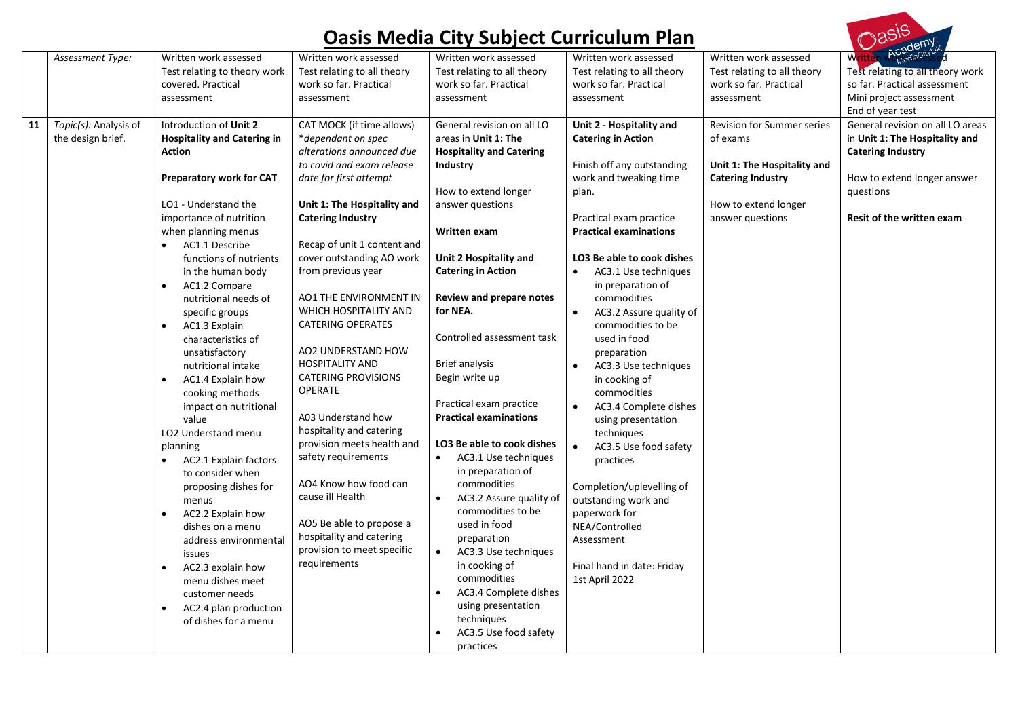| <b>Oasis Media City Subject Curriculum Plan</b> |                                            |                                                                                                                                                                                                                                                                                                                                                                                                                                                                                                                                                                                                                                                                                                                                                                                                                                                                               |                                                                                                                                                                                                                                                                                                                                                                                                                                                                                                                                                                                                                                                                                                                           |                                                                                                                                                                                                                                                                                                                                                                                                                                                                                                                                                                                                                                                                                                                                                                              |                                                                                                                                                                                                                                                                                                                                                                                                                                                                                                                                                                                                                                                                                                                                               |                                                                                                                                                      | Dasis                                                                                                                                                                   |  |
|-------------------------------------------------|--------------------------------------------|-------------------------------------------------------------------------------------------------------------------------------------------------------------------------------------------------------------------------------------------------------------------------------------------------------------------------------------------------------------------------------------------------------------------------------------------------------------------------------------------------------------------------------------------------------------------------------------------------------------------------------------------------------------------------------------------------------------------------------------------------------------------------------------------------------------------------------------------------------------------------------|---------------------------------------------------------------------------------------------------------------------------------------------------------------------------------------------------------------------------------------------------------------------------------------------------------------------------------------------------------------------------------------------------------------------------------------------------------------------------------------------------------------------------------------------------------------------------------------------------------------------------------------------------------------------------------------------------------------------------|------------------------------------------------------------------------------------------------------------------------------------------------------------------------------------------------------------------------------------------------------------------------------------------------------------------------------------------------------------------------------------------------------------------------------------------------------------------------------------------------------------------------------------------------------------------------------------------------------------------------------------------------------------------------------------------------------------------------------------------------------------------------------|-----------------------------------------------------------------------------------------------------------------------------------------------------------------------------------------------------------------------------------------------------------------------------------------------------------------------------------------------------------------------------------------------------------------------------------------------------------------------------------------------------------------------------------------------------------------------------------------------------------------------------------------------------------------------------------------------------------------------------------------------|------------------------------------------------------------------------------------------------------------------------------------------------------|-------------------------------------------------------------------------------------------------------------------------------------------------------------------------|--|
|                                                 | Assessment Type:                           | Written work assessed<br>Test relating to theory work<br>covered. Practical<br>assessment                                                                                                                                                                                                                                                                                                                                                                                                                                                                                                                                                                                                                                                                                                                                                                                     | Written work assessed<br>Test relating to all theory<br>work so far. Practical<br>assessment                                                                                                                                                                                                                                                                                                                                                                                                                                                                                                                                                                                                                              | Written work assessed<br>Test relating to all theory<br>work so far. Practical<br>assessment                                                                                                                                                                                                                                                                                                                                                                                                                                                                                                                                                                                                                                                                                 | Written work assessed<br>Test relating to all theory<br>work so far. Practical<br>assessment                                                                                                                                                                                                                                                                                                                                                                                                                                                                                                                                                                                                                                                  | Written work assessed<br>Test relating to all theory<br>work so far. Practical<br>assessment                                                         | Written Womediscipy<br>Test relating to all theory work<br>so far. Practical assessment<br>Mini project assessment<br>End of year test                                  |  |
| 11                                              | Topic(s): Analysis of<br>the design brief. | Introduction of Unit 2<br><b>Hospitality and Catering in</b><br><b>Action</b><br>Preparatory work for CAT<br>LO1 - Understand the<br>importance of nutrition<br>when planning menus<br>AC1.1 Describe<br>$\bullet$<br>functions of nutrients<br>in the human body<br>$\bullet$<br>AC1.2 Compare<br>nutritional needs of<br>specific groups<br>AC1.3 Explain<br>$\bullet$<br>characteristics of<br>unsatisfactory<br>nutritional intake<br>$\bullet$<br>AC1.4 Explain how<br>cooking methods<br>impact on nutritional<br>value<br>LO2 Understand menu<br>planning<br>AC2.1 Explain factors<br>to consider when<br>proposing dishes for<br>menus<br>AC2.2 Explain how<br>$\bullet$<br>dishes on a menu<br>address environmental<br>issues<br>AC2.3 explain how<br>$\bullet$<br>menu dishes meet<br>customer needs<br>AC2.4 plan production<br>$\bullet$<br>of dishes for a menu | CAT MOCK (if time allows)<br>*dependant on spec<br>alterations announced due<br>to covid and exam release<br>date for first attempt<br>Unit 1: The Hospitality and<br><b>Catering Industry</b><br>Recap of unit 1 content and<br>cover outstanding AO work<br>from previous year<br>AO1 THE ENVIRONMENT IN<br>WHICH HOSPITALITY AND<br><b>CATERING OPERATES</b><br>AO2 UNDERSTAND HOW<br><b>HOSPITALITY AND</b><br><b>CATERING PROVISIONS</b><br><b>OPERATE</b><br>A03 Understand how<br>hospitality and catering<br>provision meets health and<br>safety requirements<br>AO4 Know how food can<br>cause ill Health<br>AO5 Be able to propose a<br>hospitality and catering<br>provision to meet specific<br>requirements | General revision on all LO<br>areas in Unit 1: The<br><b>Hospitality and Catering</b><br><b>Industry</b><br>How to extend longer<br>answer questions<br>Written exam<br>Unit 2 Hospitality and<br><b>Catering in Action</b><br>Review and prepare notes<br>for NEA.<br>Controlled assessment task<br>Brief analysis<br>Begin write up<br>Practical exam practice<br><b>Practical examinations</b><br>LO3 Be able to cook dishes<br>$\bullet$<br>AC3.1 Use techniques<br>in preparation of<br>commodities<br>$\bullet$<br>AC3.2 Assure quality of<br>commodities to be<br>used in food<br>preparation<br>AC3.3 Use techniques<br>in cooking of<br>commodities<br>AC3.4 Complete dishes<br>$\bullet$<br>using presentation<br>techniques<br>AC3.5 Use food safety<br>practices | Unit 2 - Hospitality and<br><b>Catering in Action</b><br>Finish off any outstanding<br>work and tweaking time<br>plan.<br>Practical exam practice<br><b>Practical examinations</b><br>LO3 Be able to cook dishes<br>AC3.1 Use techniques<br>$\bullet$<br>in preparation of<br>commodities<br>$\bullet$<br>AC3.2 Assure quality of<br>commodities to be<br>used in food<br>preparation<br>$\bullet$<br>AC3.3 Use techniques<br>in cooking of<br>commodities<br>$\bullet$<br>AC3.4 Complete dishes<br>using presentation<br>techniques<br>$\bullet$<br>AC3.5 Use food safety<br>practices<br>Completion/uplevelling of<br>outstanding work and<br>paperwork for<br>NEA/Controlled<br>Assessment<br>Final hand in date: Friday<br>1st April 2022 | <b>Revision for Summer series</b><br>of exams<br>Unit 1: The Hospitality and<br><b>Catering Industry</b><br>How to extend longer<br>answer questions | General revision on all LO areas<br>in Unit 1: The Hospitality and<br><b>Catering Industry</b><br>How to extend longer answer<br>questions<br>Resit of the written exam |  |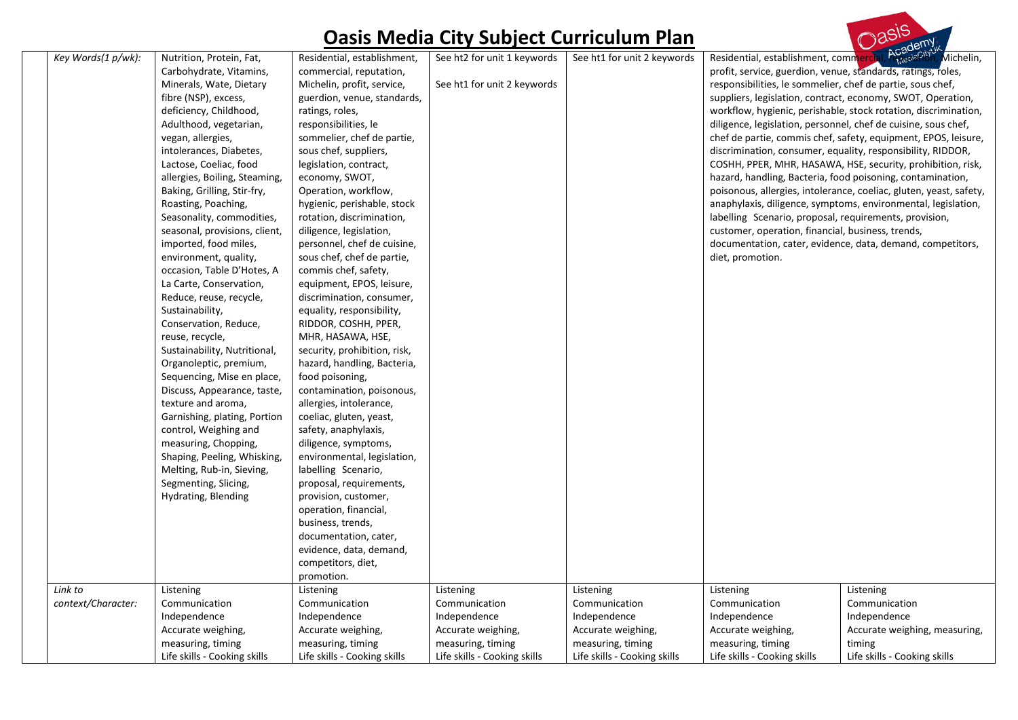

| Key Words(1 p/wk):            | Nutrition, Protein, Fat,<br>Carbohydrate, Vitamins,<br>Minerals, Wate, Dietary<br>fibre (NSP), excess,<br>deficiency, Childhood,<br>Adulthood, vegetarian,<br>vegan, allergies,<br>intolerances, Diabetes,<br>Lactose, Coeliac, food<br>allergies, Boiling, Steaming,<br>Baking, Grilling, Stir-fry,<br>Roasting, Poaching,<br>Seasonality, commodities,<br>seasonal, provisions, client,<br>imported, food miles,<br>environment, quality,<br>occasion, Table D'Hotes, A<br>La Carte, Conservation,<br>Reduce, reuse, recycle,<br>Sustainability,<br>Conservation, Reduce,<br>reuse, recycle,<br>Sustainability, Nutritional,<br>Organoleptic, premium,<br>Sequencing, Mise en place,<br>Discuss, Appearance, taste,<br>texture and aroma,<br>Garnishing, plating, Portion<br>control, Weighing and<br>measuring, Chopping,<br>Shaping, Peeling, Whisking,<br>Melting, Rub-in, Sieving,<br>Segmenting, Slicing,<br>Hydrating, Blending | Residential, establishment,<br>commercial, reputation,<br>Michelin, profit, service,<br>guerdion, venue, standards,<br>ratings, roles,<br>responsibilities, le<br>sommelier, chef de partie,<br>sous chef, suppliers,<br>legislation, contract,<br>economy, SWOT,<br>Operation, workflow,<br>hygienic, perishable, stock<br>rotation, discrimination,<br>diligence, legislation,<br>personnel, chef de cuisine,<br>sous chef, chef de partie,<br>commis chef, safety,<br>equipment, EPOS, leisure,<br>discrimination, consumer,<br>equality, responsibility,<br>RIDDOR, COSHH, PPER,<br>MHR, HASAWA, HSE,<br>security, prohibition, risk,<br>hazard, handling, Bacteria,<br>food poisoning,<br>contamination, poisonous,<br>allergies, intolerance,<br>coeliac, gluten, yeast,<br>safety, anaphylaxis,<br>diligence, symptoms,<br>environmental, legislation,<br>labelling Scenario,<br>proposal, requirements,<br>provision, customer,<br>operation, financial,<br>business, trends,<br>documentation, cater, | See ht2 for unit 1 keywords<br>See ht1 for unit 2 keywords       | See ht1 for unit 2 keywords                                      | profit, service, guerdion, venue, standards, ratings, roles,<br>responsibilities, le sommelier, chef de partie, sous chef,<br>labelling Scenario, proposal, requirements, provision,<br>customer, operation, financial, business, trends,<br>diet, promotion. | Residential, establishment, commercial, repearable Michelin,<br>suppliers, legislation, contract, economy, SWOT, Operation,<br>workflow, hygienic, perishable, stock rotation, discrimination,<br>diligence, legislation, personnel, chef de cuisine, sous chef,<br>chef de partie, commis chef, safety, equipment, EPOS, leisure,<br>discrimination, consumer, equality, responsibility, RIDDOR,<br>COSHH, PPER, MHR, HASAWA, HSE, security, prohibition, risk,<br>hazard, handling, Bacteria, food poisoning, contamination,<br>poisonous, allergies, intolerance, coeliac, gluten, yeast, safety,<br>anaphylaxis, diligence, symptoms, environmental, legislation,<br>documentation, cater, evidence, data, demand, competitors, |
|-------------------------------|-----------------------------------------------------------------------------------------------------------------------------------------------------------------------------------------------------------------------------------------------------------------------------------------------------------------------------------------------------------------------------------------------------------------------------------------------------------------------------------------------------------------------------------------------------------------------------------------------------------------------------------------------------------------------------------------------------------------------------------------------------------------------------------------------------------------------------------------------------------------------------------------------------------------------------------------|----------------------------------------------------------------------------------------------------------------------------------------------------------------------------------------------------------------------------------------------------------------------------------------------------------------------------------------------------------------------------------------------------------------------------------------------------------------------------------------------------------------------------------------------------------------------------------------------------------------------------------------------------------------------------------------------------------------------------------------------------------------------------------------------------------------------------------------------------------------------------------------------------------------------------------------------------------------------------------------------------------------|------------------------------------------------------------------|------------------------------------------------------------------|---------------------------------------------------------------------------------------------------------------------------------------------------------------------------------------------------------------------------------------------------------------|-------------------------------------------------------------------------------------------------------------------------------------------------------------------------------------------------------------------------------------------------------------------------------------------------------------------------------------------------------------------------------------------------------------------------------------------------------------------------------------------------------------------------------------------------------------------------------------------------------------------------------------------------------------------------------------------------------------------------------------|
| Link to<br>context/Character: | Listening<br>Communication<br>Independence<br>Accurate weighing,                                                                                                                                                                                                                                                                                                                                                                                                                                                                                                                                                                                                                                                                                                                                                                                                                                                                        | evidence, data, demand,<br>competitors, diet,<br>promotion.<br>Listening<br>Communication<br>Independence<br>Accurate weighing,                                                                                                                                                                                                                                                                                                                                                                                                                                                                                                                                                                                                                                                                                                                                                                                                                                                                                | Listening<br>Communication<br>Independence<br>Accurate weighing, | Listening<br>Communication<br>Independence<br>Accurate weighing, | Listening<br>Communication<br>Independence<br>Accurate weighing,                                                                                                                                                                                              | Listening<br>Communication<br>Independence<br>Accurate weighing, measuring,                                                                                                                                                                                                                                                                                                                                                                                                                                                                                                                                                                                                                                                         |
|                               | measuring, timing<br>Life skills - Cooking skills                                                                                                                                                                                                                                                                                                                                                                                                                                                                                                                                                                                                                                                                                                                                                                                                                                                                                       | measuring, timing<br>Life skills - Cooking skills                                                                                                                                                                                                                                                                                                                                                                                                                                                                                                                                                                                                                                                                                                                                                                                                                                                                                                                                                              | measuring, timing<br>Life skills - Cooking skills                | measuring, timing<br>Life skills - Cooking skills                | measuring, timing<br>Life skills - Cooking skills                                                                                                                                                                                                             | timing<br>Life skills - Cooking skills                                                                                                                                                                                                                                                                                                                                                                                                                                                                                                                                                                                                                                                                                              |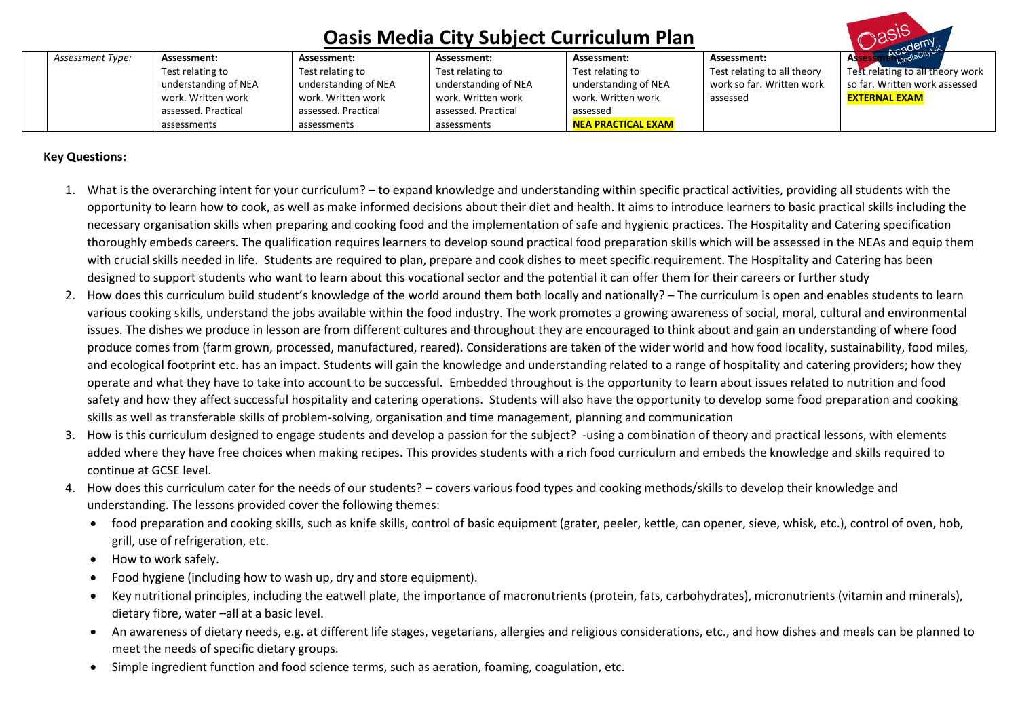|  | <b>Andellink</b> |                      |                      |                      |                           |                             |                                  |
|--|------------------|----------------------|----------------------|----------------------|---------------------------|-----------------------------|----------------------------------|
|  | Assessment Type: | Assessment:          | Assessment:          | Assessment:          | Assessment:               | Assessment:                 | <b>AUC</b><br><b>Asses</b>       |
|  |                  | Test relating to     | Test relating to     | Test relating to     | Test relating to          | Test relating to all theory | Test relating to all theory work |
|  |                  | understanding of NEA | understanding of NEA | understanding of NEA | understanding of NEA      | work so far. Written work   | so far. Written work assessed    |
|  |                  | work. Written work   | work. Written work   | work. Written work   | work. Written work        | assessed                    | <b>EXTERNAL EXAM</b>             |
|  |                  | assessed. Practical  | assessed. Practical  | assessed. Practical  | assessed                  |                             |                                  |
|  |                  | assessments          | assessments          | assessments          | <b>NEA PRACTICAL EXAM</b> |                             |                                  |

### **Key Questions:**

- 1. What is the overarching intent for your curriculum? to expand knowledge and understanding within specific practical activities, providing all students with the opportunity to learn how to cook, as well as make informed decisions about their diet and health. It aims to introduce learners to basic practical skills including the necessary organisation skills when preparing and cooking food and the implementation of safe and hygienic practices. The Hospitality and Catering specification thoroughly embeds careers. The qualification requires learners to develop sound practical food preparation skills which will be assessed in the NEAs and equip them with crucial skills needed in life. Students are required to plan, prepare and cook dishes to meet specific requirement. The Hospitality and Catering has been designed to support students who want to learn about this vocational sector and the potential it can offer them for their careers or further study
- 2. How does this curriculum build student's knowledge of the world around them both locally and nationally? The curriculum is open and enables students to learn various cooking skills, understand the jobs available within the food industry. The work promotes a growing awareness of social, moral, cultural and environmental issues. The dishes we produce in lesson are from different cultures and throughout they are encouraged to think about and gain an understanding of where food produce comes from (farm grown, processed, manufactured, reared). Considerations are taken of the wider world and how food locality, sustainability, food miles, and ecological footprint etc. has an impact. Students will gain the knowledge and understanding related to a range of hospitality and catering providers; how they operate and what they have to take into account to be successful. Embedded throughout is the opportunity to learn about issues related to nutrition and food safety and how they affect successful hospitality and catering operations. Students will also have the opportunity to develop some food preparation and cooking skills as well as transferable skills of problem-solving, organisation and time management, planning and communication
- 3. How is this curriculum designed to engage students and develop a passion for the subject? -using a combination of theory and practical lessons, with elements added where they have free choices when making recipes. This provides students with a rich food curriculum and embeds the knowledge and skills required to continue at GCSE level.
- 4. How does this curriculum cater for the needs of our students? covers various food types and cooking methods/skills to develop their knowledge and understanding. The lessons provided cover the following themes:
	- food preparation and cooking skills, such as knife skills, control of basic equipment (grater, peeler, kettle, can opener, sieve, whisk, etc.), control of oven, hob, grill, use of refrigeration, etc.
	- How to work safely.
	- Food hygiene (including how to wash up, dry and store equipment).
	- Key nutritional principles, including the eatwell plate, the importance of macronutrients (protein, fats, carbohydrates), micronutrients (vitamin and minerals), dietary fibre, water –all at a basic level.
	- An awareness of dietary needs, e.g. at different life stages, vegetarians, allergies and religious considerations, etc., and how dishes and meals can be planned to meet the needs of specific dietary groups.
	- Simple ingredient function and food science terms, such as aeration, foaming, coagulation, etc.